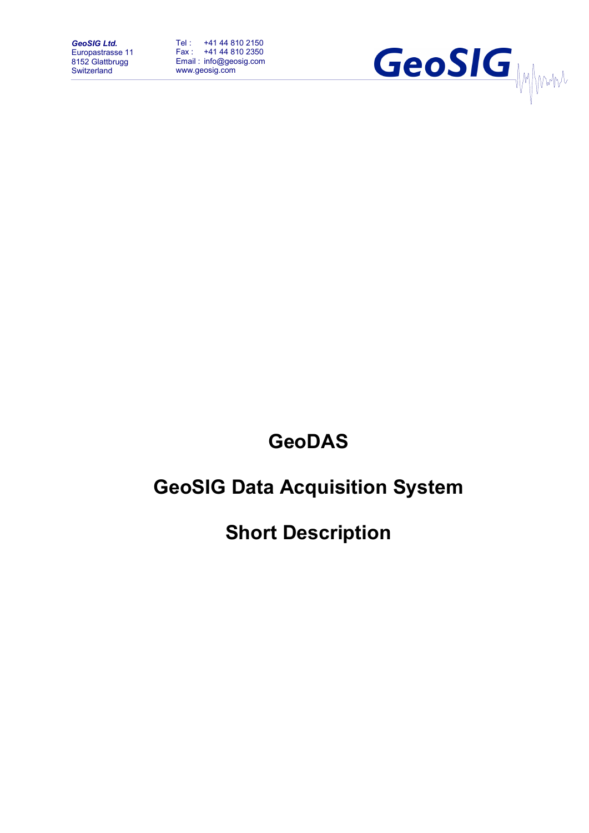*GeoSIG Ltd.* Europastrasse 11 8152 Glattbrugg **Switzerland** 

Tel : +41 44 810 2150 Fax : +41 44 810 2350 Email : info@geosig.com www.geosig.com



## **GeoDAS**

# **GeoSIG Data Acquisition System**

**Short Description**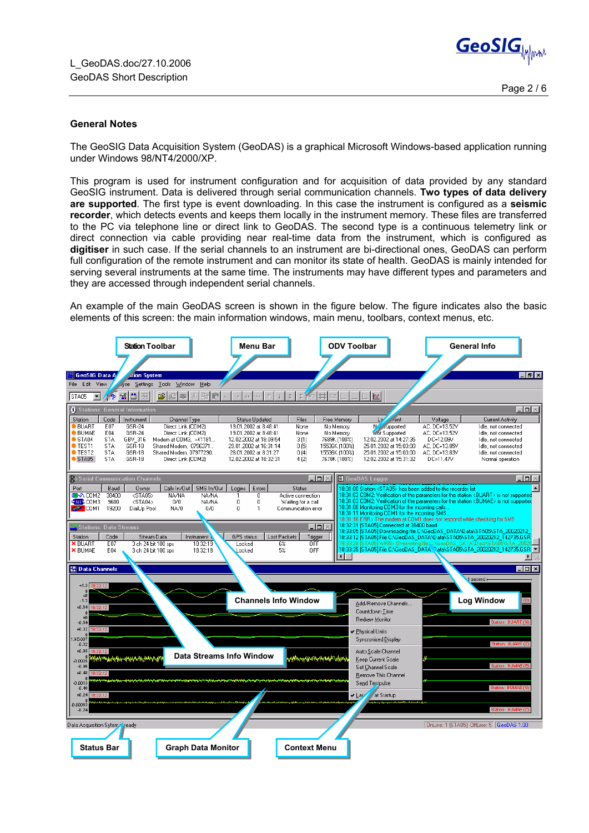

## **General Notes**

The GeoSIG Data Acquisition System (GeoDAS) is a graphical Microsoft Windows-based application running under Windows 98/NT4/2000/XP.

This program is used for instrument configuration and for acquisition of data provided by any standard GeoSIG instrument. Data is delivered through serial communication channels. **Two types of data delivery are supported**. The first type is event downloading. In this case the instrument is configured as a **seismic recorder**, which detects events and keeps them locally in the instrument memory. These files are transferred to the PC via telephone line or direct link to GeoDAS. The second type is a continuous telemetry link or direct connection via cable providing near real-time data from the instrument, which is configured as **digitiser** in such case. If the serial channels to an instrument are bi-directional ones, GeoDAS can perform full configuration of the remote instrument and can monitor its state of health. GeoDAS is mainly intended for serving several instruments at the same time. The instruments may have different types and parameters and they are accessed through independent serial channels.

An example of the main GeoDAS screen is shown in the figure below. The figure indicates also the basic elements of this screen: the main information windows, main menu, toolbars, context menus, etc.

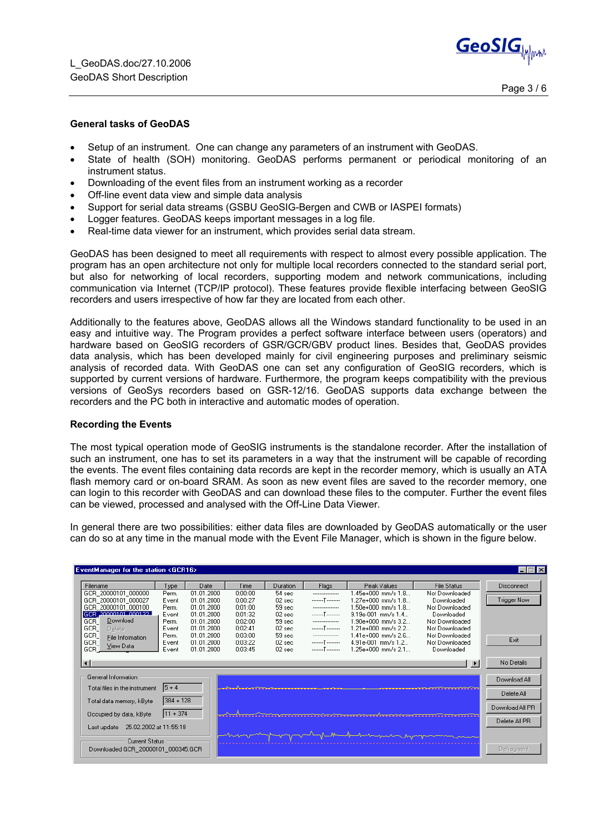

## **General tasks of GeoDAS**

- Setup of an instrument. One can change any parameters of an instrument with GeoDAS.
- State of health (SOH) monitoring. GeoDAS performs permanent or periodical monitoring of an instrument status.
- Downloading of the event files from an instrument working as a recorder
- Off-line event data view and simple data analysis
- Support for serial data streams (GSBU GeoSIG-Bergen and CWB or IASPEI formats)
- Logger features. GeoDAS keeps important messages in a log file.
- Real-time data viewer for an instrument, which provides serial data stream.

GeoDAS has been designed to meet all requirements with respect to almost every possible application. The program has an open architecture not only for multiple local recorders connected to the standard serial port, but also for networking of local recorders, supporting modem and network communications, including communication via Internet (TCP/IP protocol). These features provide flexible interfacing between GeoSIG recorders and users irrespective of how far they are located from each other.

Additionally to the features above, GeoDAS allows all the Windows standard functionality to be used in an easy and intuitive way. The Program provides a perfect software interface between users (operators) and hardware based on GeoSIG recorders of GSR/GCR/GBV product lines. Besides that, GeoDAS provides data analysis, which has been developed mainly for civil engineering purposes and preliminary seismic analysis of recorded data. With GeoDAS one can set any configuration of GeoSIG recorders, which is supported by current versions of hardware. Furthermore, the program keeps compatibility with the previous versions of GeoSys recorders based on GSR-12/16. GeoDAS supports data exchange between the recorders and the PC both in interactive and automatic modes of operation.

## **Recording the Events**

The most typical operation mode of GeoSIG instruments is the standalone recorder. After the installation of such an instrument, one has to set its parameters in a way that the instrument will be capable of recording the events. The event files containing data records are kept in the recorder memory, which is usually an ATA flash memory card or on-board SRAM. As soon as new event files are saved to the recorder memory, one can login to this recorder with GeoDAS and can download these files to the computer. Further the event files can be viewed, processed and analysed with the Off-Line Data Viewer.

In general there are two possibilities: either data files are downloaded by GeoDAS automatically or the user can do so at any time in the manual mode with the Event File Manager, which is shown in the figure below.

| EventManager for the station <gcr16></gcr16> |             |                          |                    |                      |                  |                                                  |                              | $\blacksquare$ $\blacksquare$ $\blacksquare$ |
|----------------------------------------------|-------------|--------------------------|--------------------|----------------------|------------------|--------------------------------------------------|------------------------------|----------------------------------------------|
| Filename                                     | Type        | Date                     | Time               | Duration             | Flags            | Peak Values                                      | <b>File Status</b>           | Disconnect                                   |
| GCR 20000101 000000                          | Perm.       | 01.01.2000               | 0:00:00            | 54 sec               | ---------------- | l.45e+000 mm/s 1.8                               | Not Downloaded               |                                              |
| GCR 20000101 000027                          | Event       | 01.01.2000               | 0:00:27            | $02$ sec.            | T                | $1.27e+000$ mm/s $1.8$                           | Downloaded                   | <b>Trigger Now</b>                           |
| GCR 20000101 000100                          | Perm.       | 01.01.2000               | 0:01:00            | 59 sec               | ---------------- | $1.50e+000$ mm/s $1.8$                           | Not Downloaded               |                                              |
| <b>Bernard The Minister Beet</b><br>GCR.     | Event       | N1 N1 2000               | 0:01:32            | 02 <sub>sec</sub>    | T                | 9.19e-001 mm/s 1.4                               | Downloaded                   |                                              |
| Download<br>GCR                              | Perm.       | 01.01.2000               | 0:02:00            | 59 sec               | ---------------- | $1.90e+000$ mm/s $3.2$                           | Not Downloaded               |                                              |
| GCR  <br>Delete                              | Event       | 01.01.2000               | 0:02:41            | $02$ sec.            | T                | 1.21e+000 mm/s 2.2                               | Not Downloaded               |                                              |
| GCR.<br>File Information                     | Perm.       | 01.01.2000               | 0:03:00            | 59 sec               | ---------------- | 1.41e+000 mm/s 2.6                               | Not Downloaded               | Exit                                         |
| GCR.<br>View Data<br>GCR.                    | Event       | 01.01.2000<br>01.01.2000 | 0:03:22<br>0:03:45 | $02$ sec<br>$02$ sec | T<br>T           | $4.91e-001$ mm/s $1.2$<br>$1.25e+000$ mm/s $2.1$ | Not Downloaded<br>Downloaded |                                              |
|                                              | Event       |                          |                    |                      |                  |                                                  |                              |                                              |
| $\blacksquare$                               |             |                          |                    |                      |                  |                                                  | $\mathbf{F}$                 | No Details                                   |
| General Information                          |             |                          |                    |                      |                  |                                                  |                              | Download All                                 |
| $ 5 + 4 $<br>Total files in the instrument   |             |                          |                    |                      |                  |                                                  |                              |                                              |
|                                              |             |                          |                    |                      |                  |                                                  | Delete All                   |                                              |
| Total data memory, kByte                     | $384 + 128$ |                          |                    |                      |                  |                                                  |                              |                                              |
|                                              |             |                          |                    |                      |                  |                                                  |                              | Download All PR                              |
| Occupied by data, kByte                      | $111 + 374$ |                          |                    |                      |                  |                                                  |                              |                                              |
| 25.02.2002 at 11:55:18<br>Last update        |             |                          |                    |                      |                  |                                                  | Delete All PR                |                                              |
|                                              |             |                          |                    |                      |                  |                                                  |                              |                                              |
| Current Status                               |             |                          |                    |                      |                  |                                                  |                              |                                              |
| Downloaded GCR 20000101 000345.GCR           |             |                          |                    |                      |                  | Defragment                                       |                              |                                              |
|                                              |             |                          |                    |                      |                  |                                                  |                              |                                              |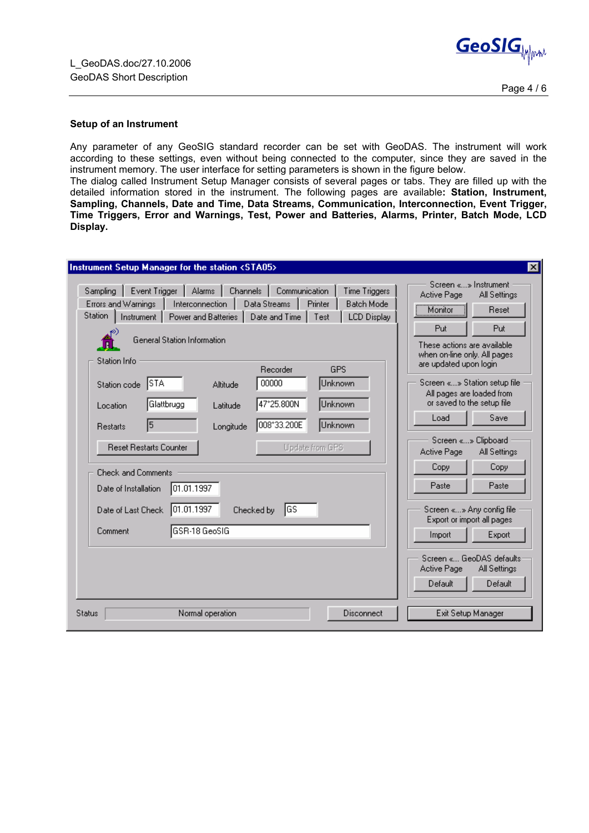

## **Setup of an Instrument**

Any parameter of any GeoSIG standard recorder can be set with GeoDAS. The instrument will work according to these settings, even without being connected to the computer, since they are saved in the instrument memory. The user interface for setting parameters is shown in the figure below.

The dialog called Instrument Setup Manager consists of several pages or tabs. They are filled up with the detailed information stored in the instrument. The following pages are available**: Station, Instrument, Sampling, Channels, Date and Time, Data Streams, Communication, Interconnection, Event Trigger, Time Triggers, Error and Warnings, Test, Power and Batteries, Alarms, Printer, Batch Mode, LCD Display.** 

| Event Trigger<br>Alarms<br>Channels<br>Communication<br>Sampling<br>Time Triggers<br>Data Streams<br>Errors and Warnings<br>Printer<br><b>Batch Mode</b><br><b>Interconnection</b><br><b>Station</b><br>Power and Batteries<br>Date and Time   Test<br><b>LCD Display</b><br>Instrument  <br>General Station Information<br>Station Info<br>Recorder<br><b>GPS</b><br>∥STA<br>00000<br>Unknown<br>Altitude<br>Station code<br>47°25.800N<br>Glattbrugg<br>Unknown<br>Latitude<br>Location<br>008°33.200E<br>5<br>Unknown<br>Longitude<br><b>Restarts</b><br><b>Reset Restarts Counter</b><br>Update from GPS<br><b>Check and Comments</b><br>01.01.1997<br>Date of Installation<br>101.01.1997<br>∥GS<br>Date of Last Check<br>Checked by<br>GSR-18 GeoSIG<br>Comment | Screen «» Instrument<br>Active Page<br>All Settings<br>Monitor <sup>1</sup><br>Reset<br>Put<br>Put<br>These actions are available<br>when on-line only. All pages<br>are updated upon login<br>Screen «» Station setup file<br>All pages are loaded from<br>or saved to the setup file<br>Save<br>Load<br>Screen «» Clipboard<br>Active Page<br>All Settings<br>Copy<br>Copy<br>Paste<br>Paste<br>Screen «» Any config file<br>Export or import all pages<br>Export<br>Import |
|-----------------------------------------------------------------------------------------------------------------------------------------------------------------------------------------------------------------------------------------------------------------------------------------------------------------------------------------------------------------------------------------------------------------------------------------------------------------------------------------------------------------------------------------------------------------------------------------------------------------------------------------------------------------------------------------------------------------------------------------------------------------------|-------------------------------------------------------------------------------------------------------------------------------------------------------------------------------------------------------------------------------------------------------------------------------------------------------------------------------------------------------------------------------------------------------------------------------------------------------------------------------|
| Disconnect<br>Normal operation<br><b>Status</b>                                                                                                                                                                                                                                                                                                                                                                                                                                                                                                                                                                                                                                                                                                                       | Screen « GeoDAS defaults<br>Active Page<br>All Settings<br>Default<br>Default<br>Exit Setup Manager                                                                                                                                                                                                                                                                                                                                                                           |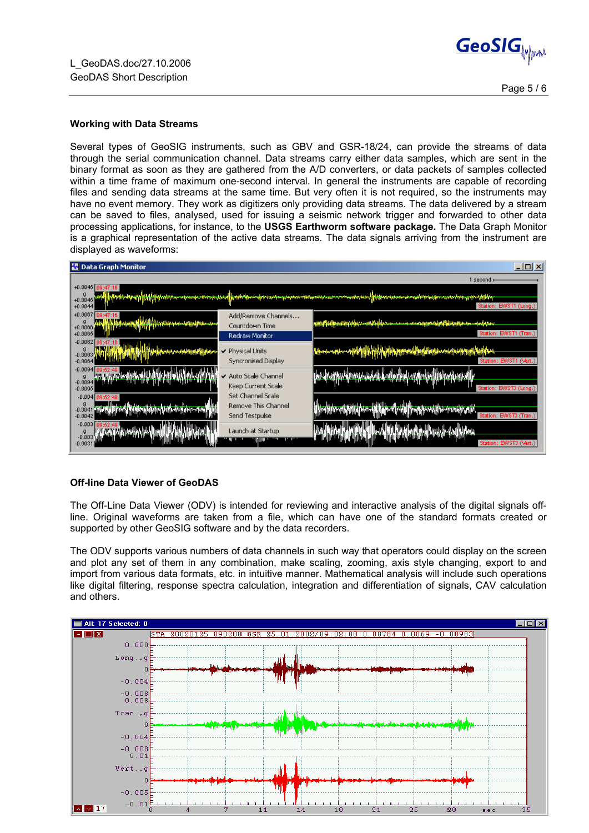

## **Working with Data Streams**

Several types of GeoSIG instruments, such as GBV and GSR-18/24, can provide the streams of data through the serial communication channel. Data streams carry either data samples, which are sent in the binary format as soon as they are gathered from the A/D converters, or data packets of samples collected within a time frame of maximum one-second interval. In general the instruments are capable of recording files and sending data streams at the same time. But very often it is not required, so the instruments may have no event memory. They work as digitizers only providing data streams. The data delivered by a stream can be saved to files, analysed, used for issuing a seismic network trigger and forwarded to other data processing applications, for instance, to the **USGS Earthworm software package.** The Data Graph Monitor is a graphical representation of the active data streams. The data signals arriving from the instrument are displayed as waveforms:

| $\Box$ o $\Box$<br>  認 Data Graph Monitor                                                                                                                                                       |                                                                |                                                                                                                 |  |  |  |  |  |  |
|-------------------------------------------------------------------------------------------------------------------------------------------------------------------------------------------------|----------------------------------------------------------------|-----------------------------------------------------------------------------------------------------------------|--|--|--|--|--|--|
|                                                                                                                                                                                                 |                                                                | l second r                                                                                                      |  |  |  |  |  |  |
| +0.0045 09:47:16<br>[hpwbstpypylyppobyco-usunne-minodeed]brokhomedperaturespoor-milomineamen-milomineal[hbweseen-enadominhomentrisque-Milog<br>$+0.0045$<br>Station: EWST1 (Long.)<br>$+0.0044$ |                                                                |                                                                                                                 |  |  |  |  |  |  |
| +0.0067<br>(47:16)<br><b>Indebted Accelled Colombia Service</b><br>g<br>$+0.0066$<br>$+0.0065$                                                                                                  | Add/Remove Channels<br>Countdown Time                          | <u>mm:#{W#jn.wwppffpp.com/khtplpp.com/com/com/spppw/w/pfffwp/jpp/prosen-spotppier</u><br>Station: EWST1 (Tran.) |  |  |  |  |  |  |
| $-0.0062$<br>g<br>ومراباتها الماران والبارح ومعرفاتهما<br>-0.0063 W(A)<br>$-0.0064$                                                                                                             | Redraw Monitor<br>$\vee$ Physical Units<br>Syncronised Display | Attention of the file of the late<br>Station: EWST1 (Vert.)                                                     |  |  |  |  |  |  |
| $-0.0094$<br>09:52:49 Jackson July 1997<br>g<br><del>`{C\$}PCF`N\`{ {{}\~</del> ^^{{ {{`!`\`\\\\<br>$-0.0094$<br>$-0.0095$                                                                      | ↓ Auto Scale Channel<br>Keep Current Scale                     | Station: EWST3 (Long.)                                                                                          |  |  |  |  |  |  |
| $-0.004$ 09:52:49<br>$-0.0041$<br>$-0.0042$                                                                                                                                                     | Set Channel Scale<br>Remove This Channel<br>Send Testpulse     | <b>UNIVERSITY OF THE UNIVERSITY</b><br>Station: EWST3 (Tran.)                                                   |  |  |  |  |  |  |
| $-0.003$<br><b>Jan Jan Jan Jan Jan Juli</b><br>$\frac{9}{10000}$<br><b>Ukas Las Internet</b><br>$-0.0031$                                                                                       | Launch at Startup                                              | Waadaha<br>Station: EWST3 (Vert.)                                                                               |  |  |  |  |  |  |

## **Off-line Data Viewer of GeoDAS**

The Off-Line Data Viewer (ODV) is intended for reviewing and interactive analysis of the digital signals offline. Original waveforms are taken from a file, which can have one of the standard formats created or supported by other GeoSIG software and by the data recorders.

The ODV supports various numbers of data channels in such way that operators could display on the screen and plot any set of them in any combination, make scaling, zooming, axis style changing, export to and import from various data formats, etc. in intuitive manner. Mathematical analysis will include such operations like digital filtering, response spectra calculation, integration and differentiation of signals, CAV calculation and others.